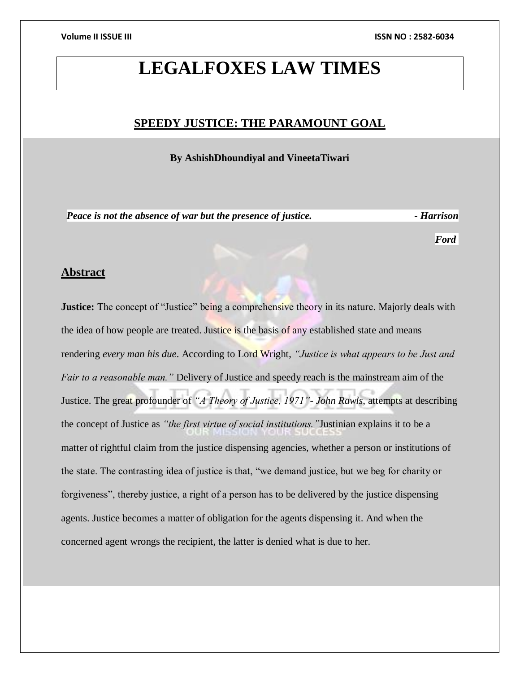## **LEGALFOXES LAW TIMES**

### **SPEEDY JUSTICE: THE PARAMOUNT GOAL**

**By AshishDhoundiyal and VineetaTiwari**

*Peace is not the absence of war but the presence of justice.*  $\cdot$  *Harrison* 

*Ford*

### **Abstract**

**Justice:** The concept of "Justice" being a comprehensive theory in its nature. Majorly deals with the idea of how people are treated. Justice is the basis of any established state and means rendering *every man his due*. According to Lord Wright, *"Justice is what appears to be Just and Fair to a reasonable man."* Delivery of Justice and speedy reach is the mainstream aim of the Justice. The great profounder of *"A Theory of Justice, 1971"- John Rawls*, attempts at describing the concept of Justice as *"the first virtue of social institutions."*Justinian explains it to be a matter of rightful claim from the justice dispensing agencies, whether a person or institutions of the state. The contrasting idea of justice is that, "we demand justice, but we beg for charity or forgiveness", thereby justice, a right of a person has to be delivered by the justice dispensing agents. Justice becomes a matter of obligation for the agents dispensing it. And when the concerned agent wrongs the recipient, the latter is denied what is due to her.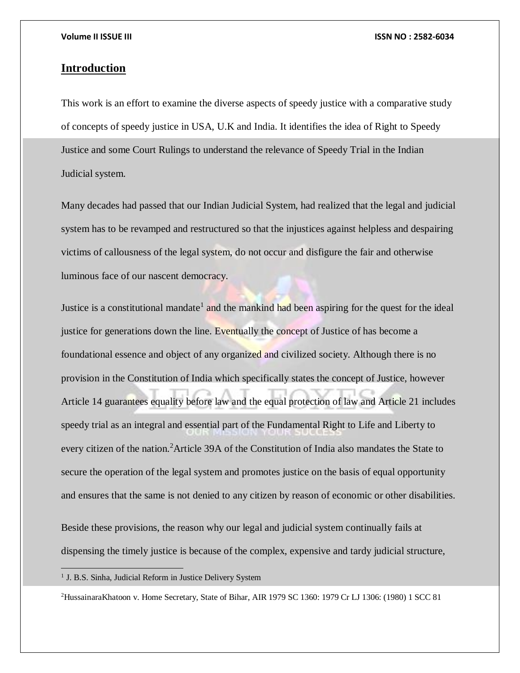### **Introduction**

This work is an effort to examine the diverse aspects of speedy justice with a comparative study of concepts of speedy justice in USA, U.K and India. It identifies the idea of Right to Speedy Justice and some Court Rulings to understand the relevance of Speedy Trial in the Indian Judicial system.

Many decades had passed that our Indian Judicial System, had realized that the legal and judicial system has to be revamped and restructured so that the injustices against helpless and despairing victims of callousness of the legal system, do not occur and disfigure the fair and otherwise luminous face of our nascent democracy.

Justice is a constitutional mandate<sup>1</sup> and the mankind had been aspiring for the quest for the ideal justice for generations down the line. Eventually the concept of Justice of has become a foundational essence and object of any organized and civilized society. Although there is no provision in the Constitution of India which specifically states the concept of Justice, however Article 14 guarantees equality before law and the equal protection of law and Article 21 includes speedy trial as an integral and essential part of the Fundamental Right to Life and Liberty to every citizen of the nation.<sup>2</sup> Article 39A of the Constitution of India also mandates the State to secure the operation of the legal system and promotes justice on the basis of equal opportunity and ensures that the same is not denied to any citizen by reason of economic or other disabilities.

Beside these provisions, the reason why our legal and judicial system continually fails at dispensing the timely justice is because of the complex, expensive and tardy judicial structure,

<sup>1</sup> J. B.S. Sinha, Judicial Reform in Justice Delivery System

2HussainaraKhatoon v. Home Secretary, State of Bihar, AIR 1979 SC 1360: 1979 Cr LJ 1306: (1980) 1 SCC 81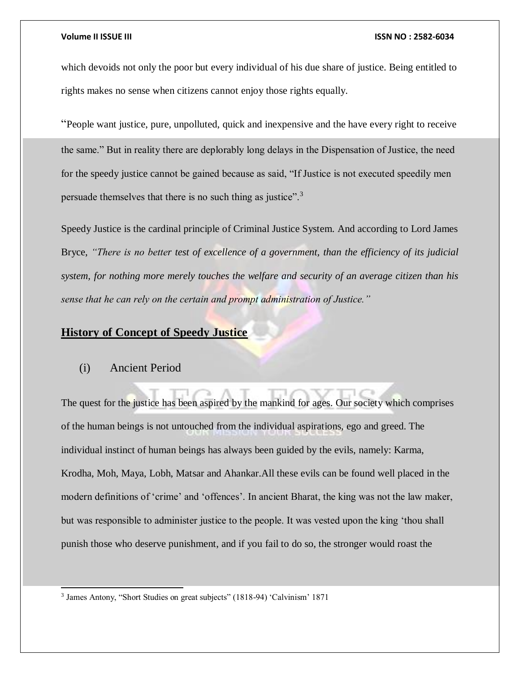which devoids not only the poor but every individual of his due share of justice. Being entitled to rights makes no sense when citizens cannot enjoy those rights equally.

"People want justice, pure, unpolluted, quick and inexpensive and the have every right to receive the same." But in reality there are deplorably long delays in the Dispensation of Justice, the need for the speedy justice cannot be gained because as said, "If Justice is not executed speedily men persuade themselves that there is no such thing as justice".<sup>3</sup>

Speedy Justice is the cardinal principle of Criminal Justice System. And according to Lord James Bryce, *"There is no better test of excellence of a government, than the efficiency of its judicial system, for nothing more merely touches the welfare and security of an average citizen than his sense that he can rely on the certain and prompt administration of Justice."*

### **History of Concept of Speedy Justice**

### (i) Ancient Period

l

The quest for the justice has been aspired by the mankind for ages. Our society which comprises of the human beings is not untouched from the individual aspirations, ego and greed. The individual instinct of human beings has always been guided by the evils, namely: Karma, Krodha, Moh, Maya, Lobh, Matsar and Ahankar.All these evils can be found well placed in the modern definitions of 'crime' and 'offences'. In ancient Bharat, the king was not the law maker, but was responsible to administer justice to the people. It was vested upon the king 'thou shall punish those who deserve punishment, and if you fail to do so, the stronger would roast the

<sup>&</sup>lt;sup>3</sup> James Antony, "Short Studies on great subjects" (1818-94) 'Calvinism' 1871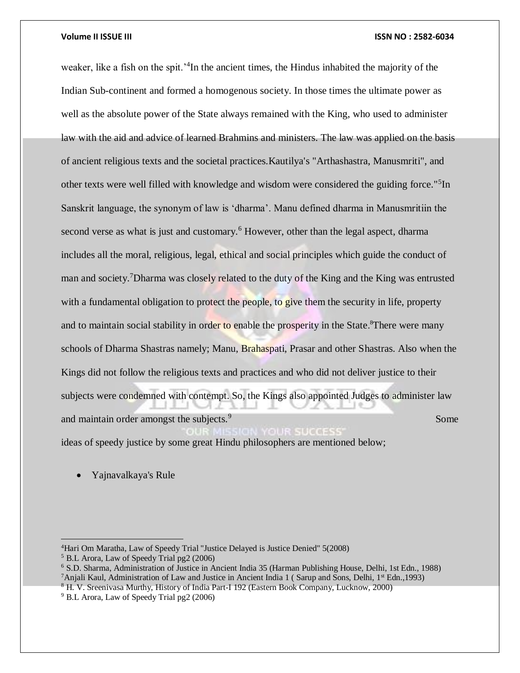weaker, like a fish on the spit.<sup>24</sup>In the ancient times, the Hindus inhabited the majority of the Indian Sub-continent and formed a homogenous society. In those times the ultimate power as well as the absolute power of the State always remained with the King, who used to administer law with the aid and advice of learned Brahmins and ministers. The law was applied on the basis of ancient religious texts and the societal practices.Kautilya's "Arthashastra, Manusmriti", and other texts were well filled with knowledge and wisdom were considered the guiding force."<sup>5</sup>In Sanskrit language, the synonym of law is 'dharma'. Manu defined dharma in Manusmritiin the second verse as what is just and customary.<sup>6</sup> However, other than the legal aspect, dharma includes all the moral, religious, legal, ethical and social principles which guide the conduct of man and society.<sup>7</sup>Dharma was closely related to the duty of the King and the King was entrusted with a fundamental obligation to protect the people, to give them the security in life, property and to maintain social stability in order to enable the prosperity in the State.<sup>8</sup>There were many schools of Dharma Shastras namely; Manu, Brahaspati, Prasar and other Shastras. Also when the Kings did not follow the religious texts and practices and who did not deliver justice to their subjects were condemned with contempt. So, the Kings also appointed Judges to administer law and maintain order amongst the subjects.<sup>9</sup> **Some** Some Some Some Some Some UR SUCCES ideas of speedy justice by some great Hindu philosophers are mentioned below;

Yajnavalkaya's Rule

<sup>6</sup> S.D. Sharma, Administration of Justice in Ancient India 35 (Harman Publishing House, Delhi, 1st Edn., 1988) <sup>7</sup>Anjali Kaul, Administration of Law and Justice in Ancient India 1 (Sarup and Sons, Delhi,  $1<sup>st</sup>$  Edn., 1993)

 $\overline{a}$ <sup>4</sup>Hari Om Maratha, Law of Speedy Trial ''Justice Delayed is Justice Denied" 5(2008) <sup>5</sup> B.L Arora, Law of Speedy Trial pg2 (2006)

<sup>8</sup> H. V. Sreenivasa Murthy, History of India Part-I 192 (Eastern Book Company, Lucknow, 2000)

<sup>9</sup> B.L Arora, Law of Speedy Trial pg2 (2006)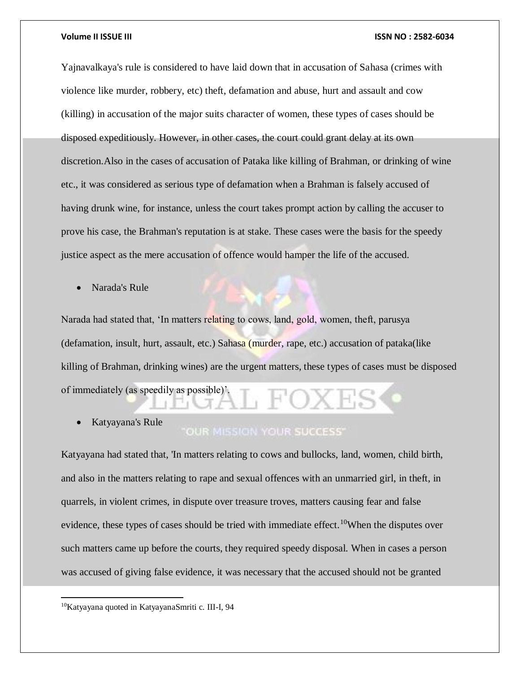Yajnavalkaya's rule is considered to have laid down that in accusation of Sahasa (crimes with violence like murder, robbery, etc) theft, defamation and abuse, hurt and assault and cow (killing) in accusation of the major suits character of women, these types of cases should be disposed expeditiously. However, in other cases, the court could grant delay at its own discretion.Also in the cases of accusation of Pataka like killing of Brahman, or drinking of wine etc., it was considered as serious type of defamation when a Brahman is falsely accused of having drunk wine, for instance, unless the court takes prompt action by calling the accuser to prove his case, the Brahman's reputation is at stake. These cases were the basis for the speedy justice aspect as the mere accusation of offence would hamper the life of the accused.

Narada's Rule

Narada had stated that, 'In matters relating to cows, land, gold, women, theft, parusya (defamation, insult, hurt, assault, etc.) Sahasa (murder, rape, etc.) accusation of pataka(like killing of Brahman, drinking wines) are the urgent matters, these types of cases must be disposed of immediately (as speedily as possible)'.

Katyayana's Rule

### OUR MISSION YOUR SUCCESS"

Katyayana had stated that, 'In matters relating to cows and bullocks, land, women, child birth, and also in the matters relating to rape and sexual offences with an unmarried girl, in theft, in quarrels, in violent crimes, in dispute over treasure troves, matters causing fear and false evidence, these types of cases should be tried with immediate effect.<sup>10</sup>When the disputes over such matters came up before the courts, they required speedy disposal. When in cases a person was accused of giving false evidence, it was necessary that the accused should not be granted

<sup>10</sup>Katyayana quoted in KatyayanaSmriti c. III-I, 94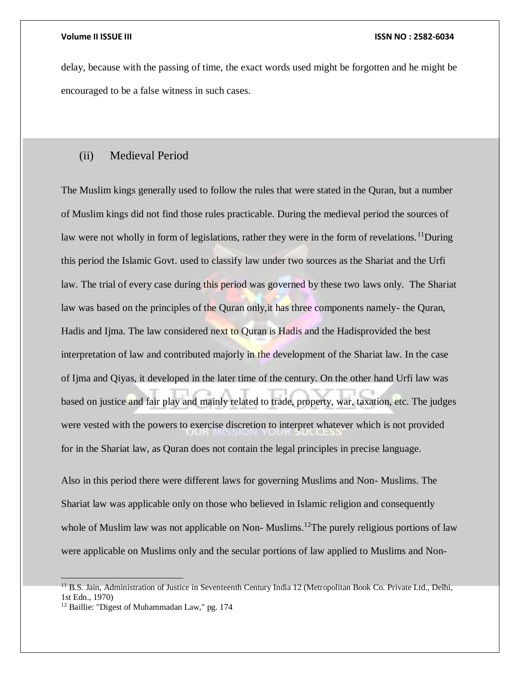delay, because with the passing of time, the exact words used might be forgotten and he might be encouraged to be a false witness in such cases.

### (ii) Medieval Period

The Muslim kings generally used to follow the rules that were stated in the Quran, but a number of Muslim kings did not find those rules practicable. During the medieval period the sources of law were not wholly in form of legislations, rather they were in the form of revelations.<sup>11</sup>During this period the Islamic Govt. used to classify law under two sources as the Shariat and the Urfi law. The trial of every case during this period was governed by these two laws only. The Shariat law was based on the principles of the Quran only, it has three components namely- the Quran, Hadis and Ijma. The law considered next to Quran is Hadis and the Hadisprovided the best interpretation of law and contributed majorly in the development of the Shariat law. In the case of Ijma and Qiyas, it developed in the later time of the century. On the other hand Urfi law was based on justice and fair play and mainly related to trade, property, war, taxation, etc. The judges were vested with the powers to exercise discretion to interpret whatever which is not provided for in the Shariat law, as Quran does not contain the legal principles in precise language.

Also in this period there were different laws for governing Muslims and Non- Muslims. The Shariat law was applicable only on those who believed in Islamic religion and consequently whole of Muslim law was not applicable on Non-Muslims.<sup>12</sup>The purely religious portions of law were applicable on Muslims only and the secular portions of law applied to Muslims and Non-

 $11$  B.S. Jain, Administration of Justice in Seventeenth Century India 12 (Metropolitan Book Co. Private Ltd., Delhi, 1st Edn., 1970)

<sup>&</sup>lt;sup>12</sup> Baillie: "Digest of Muhammadan Law," pg. 174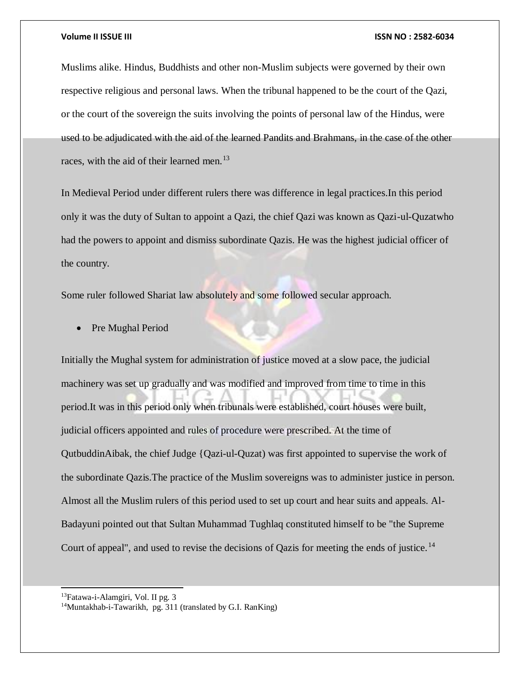Muslims alike. Hindus, Buddhists and other non-Muslim subjects were governed by their own respective religious and personal laws. When the tribunal happened to be the court of the Qazi, or the court of the sovereign the suits involving the points of personal law of the Hindus, were used to be adjudicated with the aid of the learned Pandits and Brahmans, in the case of the other races, with the aid of their learned men.<sup>13</sup>

In Medieval Period under different rulers there was difference in legal practices.In this period only it was the duty of Sultan to appoint a Qazi, the chief Qazi was known as Qazi-ul-Quzatwho had the powers to appoint and dismiss subordinate Qazis. He was the highest judicial officer of the country.

Some ruler followed Shariat law absolutely and some followed secular approach.

• Pre Mughal Period

Initially the Mughal system for administration of justice moved at a slow pace, the judicial machinery was set up gradually and was modified and improved from time to time in this period.It was in this period only when tribunals were established, court houses were built, judicial officers appointed and rules of procedure were prescribed. At the time of QutbuddinAibak, the chief Judge {Qazi-ul-Quzat) was first appointed to supervise the work of the subordinate Qazis.The practice of the Muslim sovereigns was to administer justice in person. Almost all the Muslim rulers of this period used to set up court and hear suits and appeals. Al-Badayuni pointed out that Sultan Muhammad Tughlaq constituted himself to be "the Supreme Court of appeal", and used to revise the decisions of Qazis for meeting the ends of justice.<sup>14</sup>

<sup>13</sup>Fatawa-i-Alamgiri, Vol. II pg. 3

<sup>&</sup>lt;sup>14</sup>Muntakhab-i-Tawarikh, pg. 311 (translated by G.I. RanKing)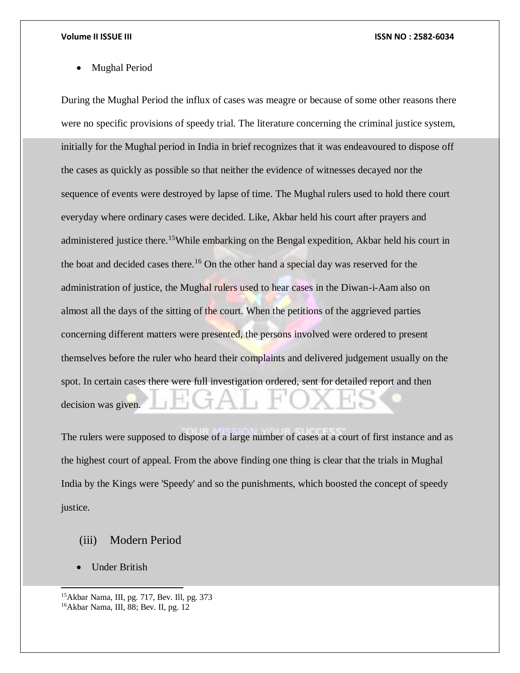Mughal Period

During the Mughal Period the influx of cases was meagre or because of some other reasons there were no specific provisions of speedy trial. The literature concerning the criminal justice system, initially for the Mughal period in India in brief recognizes that it was endeavoured to dispose off the cases as quickly as possible so that neither the evidence of witnesses decayed nor the sequence of events were destroyed by lapse of time. The Mughal rulers used to hold there court everyday where ordinary cases were decided. Like, Akbar held his court after prayers and administered justice there.<sup>15</sup>While embarking on the Bengal expedition, Akbar held his court in the boat and decided cases there.<sup>16</sup> On the other hand a special day was reserved for the administration of justice, the Mughal rulers used to hear cases in the Diwan-i-Aam also on almost all the days of the sitting of the court. When the petitions of the aggrieved parties concerning different matters were presented, the persons involved were ordered to present themselves before the ruler who heard their complaints and delivered judgement usually on the spot. In certain cases there were full investigation ordered, sent for detailed report and then decision was given.

The rulers were supposed to dispose of a large number of cases at a court of first instance and as the highest court of appeal. From the above finding one thing is clear that the trials in Mughal India by the Kings were 'Speedy' and so the punishments, which boosted the concept of speedy justice.

- (iii) Modern Period
- Under British

<sup>15</sup>Akbar Nama, III, pg. 717, Bev. Ill, pg. 373 16Akbar Nama, III, 88; Bev. II, pg. 12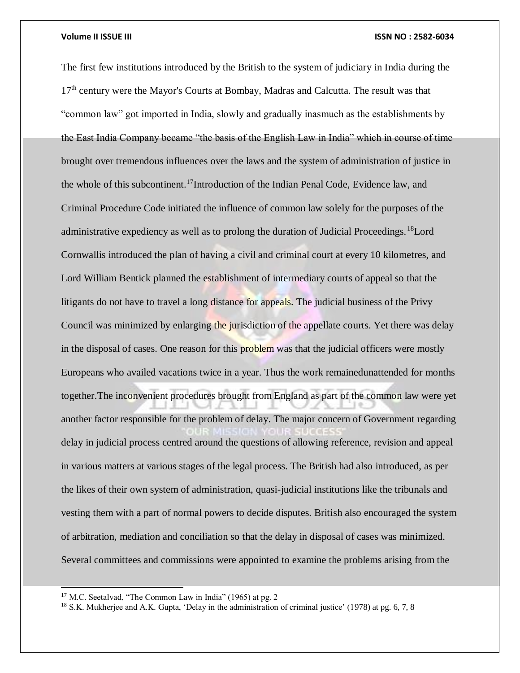The first few institutions introduced by the British to the system of judiciary in India during the 17<sup>th</sup> century were the Mayor's Courts at Bombay, Madras and Calcutta. The result was that "common law" got imported in India, slowly and gradually inasmuch as the establishments by the East India Company became "the basis of the English Law in India" which in course of time brought over tremendous influences over the laws and the system of administration of justice in the whole of this subcontinent.<sup>17</sup>Introduction of the Indian Penal Code, Evidence law, and Criminal Procedure Code initiated the influence of common law solely for the purposes of the administrative expediency as well as to prolong the duration of Judicial Proceedings.<sup>18</sup>Lord Cornwallis introduced the plan of having a civil and criminal court at every 10 kilometres, and Lord William Bentick planned the establishment of intermediary courts of appeal so that the litigants do not have to travel a long distance for appeals. The judicial business of the Privy Council was minimized by enlarging the jurisdiction of the appellate courts. Yet there was delay in the disposal of cases. One reason for this problem was that the judicial officers were mostly Europeans who availed vacations twice in a year. Thus the work remainedunattended for months together.The inconvenient procedures brought from England as part of the common law were yet another factor responsible for the problem of delay. The major concern of Government regarding delay in judicial process centred around the questions of allowing reference, revision and appeal in various matters at various stages of the legal process. The British had also introduced, as per the likes of their own system of administration, quasi-judicial institutions like the tribunals and vesting them with a part of normal powers to decide disputes. British also encouraged the system of arbitration, mediation and conciliation so that the delay in disposal of cases was minimized. Several committees and commissions were appointed to examine the problems arising from the

<sup>&</sup>lt;sup>17</sup> M.C. Seetalvad, "The Common Law in India" (1965) at pg. 2

<sup>&</sup>lt;sup>18</sup> S.K. Mukherjee and A.K. Gupta, 'Delay in the administration of criminal justice' (1978) at pg. 6, 7, 8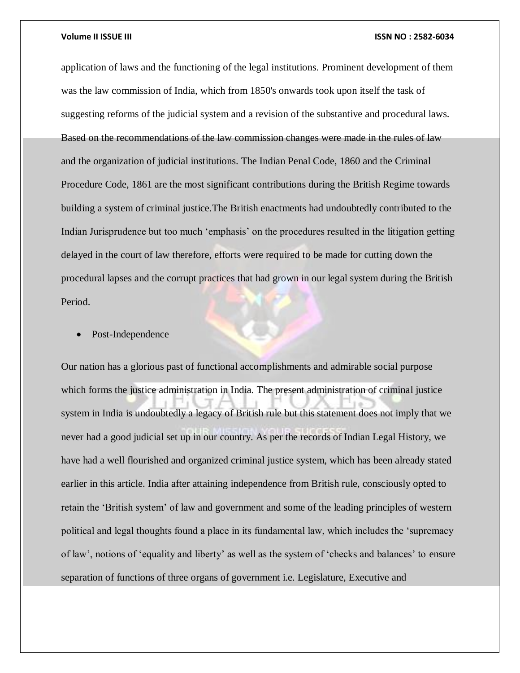application of laws and the functioning of the legal institutions. Prominent development of them was the law commission of India, which from 1850's onwards took upon itself the task of suggesting reforms of the judicial system and a revision of the substantive and procedural laws. Based on the recommendations of the law commission changes were made in the rules of law and the organization of judicial institutions. The Indian Penal Code, 1860 and the Criminal Procedure Code, 1861 are the most significant contributions during the British Regime towards building a system of criminal justice.The British enactments had undoubtedly contributed to the Indian Jurisprudence but too much 'emphasis' on the procedures resulted in the litigation getting delayed in the court of law therefore, efforts were required to be made for cutting down the procedural lapses and the corrupt practices that had grown in our legal system during the British Period.

### Post-Independence

Our nation has a glorious past of functional accomplishments and admirable social purpose which forms the justice administration in India. The present administration of criminal justice system in India is undoubtedly a legacy of British rule but this statement does not imply that we never had a good judicial set up in our country. As per the records of Indian Legal History, we have had a well flourished and organized criminal justice system, which has been already stated earlier in this article. India after attaining independence from British rule, consciously opted to retain the 'British system' of law and government and some of the leading principles of western political and legal thoughts found a place in its fundamental law, which includes the 'supremacy of law', notions of 'equality and liberty' as well as the system of 'checks and balances' to ensure separation of functions of three organs of government i.e. Legislature, Executive and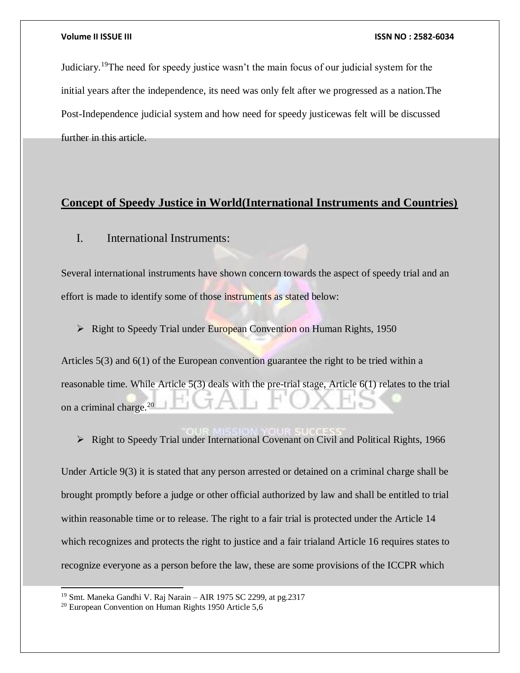Judiciary.<sup>19</sup>The need for speedy justice wasn't the main focus of our judicial system for the initial years after the independence, its need was only felt after we progressed as a nation.The Post-Independence judicial system and how need for speedy justicewas felt will be discussed further in this article.

### **Concept of Speedy Justice in World(International Instruments and Countries)**

### I. International Instruments:

Several international instruments have shown concern towards the aspect of speedy trial and an effort is made to identify some of those instruments as stated below:

**EXECUTE:** Right to Speedy Trial under European Convention on Human Rights, 1950

Articles 5(3) and 6(1) of the European convention guarantee the right to be tried within a reasonable time. While Article 5(3) deals with the pre-trial stage, Article 6(1) relates to the trial on a criminal charge.<sup>20</sup>

 $\triangleright$  Right to Speedy Trial under International Covenant on Civil and Political Rights, 1966

Under Article 9(3) it is stated that any person arrested or detained on a criminal charge shall be brought promptly before a judge or other official authorized by law and shall be entitled to trial within reasonable time or to release. The right to a fair trial is protected under the Article 14 which recognizes and protects the right to justice and a fair trialand Article 16 requires states to recognize everyone as a person before the law, these are some provisions of the ICCPR which

<sup>19</sup> Smt. Maneka Gandhi V. Raj Narain – AIR 1975 SC 2299, at pg.2317

<sup>20</sup> European Convention on Human Rights 1950 Article 5,6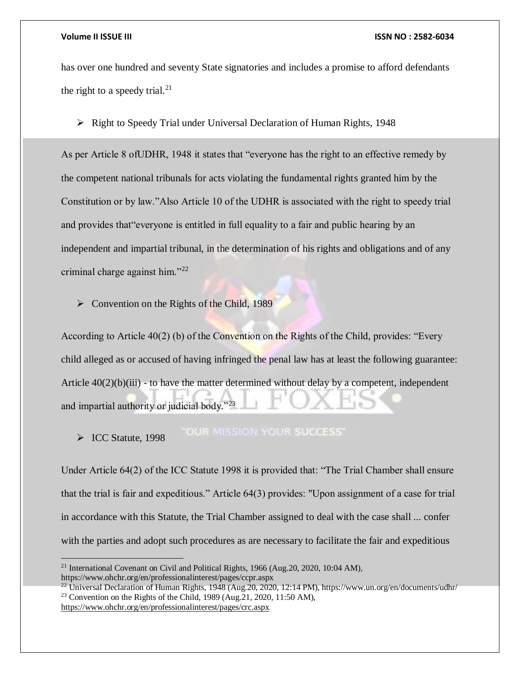$\overline{a}$ 

### **Volume II ISSUE III ISSN NO : 2582-6034**

has over one hundred and seventy State signatories and includes a promise to afford defendants the right to a speedy trial.<sup>21</sup>

 $\triangleright$  Right to Speedy Trial under Universal Declaration of Human Rights, 1948

As per Article 8 ofUDHR, 1948 it states that "everyone has the right to an effective remedy by the competent national tribunals for acts violating the fundamental rights granted him by the Constitution or by law."Also Article 10 of the UDHR is associated with the right to speedy trial and provides that"everyone is entitled in full equality to a fair and public hearing by an independent and impartial tribunal, in the determination of his rights and obligations and of any criminal charge against him."<sup>22</sup>

 $\triangleright$  Convention on the Rights of the Child, 1989

According to Article 40(2) (b) of the Convention on the Rights of the Child, provides: "Every child alleged as or accused of having infringed the penal law has at least the following guarantee: Article  $40(2)(b)(iii)$  - to have the matter determined without delay by a competent, independent and impartial authority or judicial body."<sup>23</sup>

**"OUR MISSION YOUR SUCCESS"** ICC Statute, 1998

Under Article 64(2) of the ICC Statute 1998 it is provided that: "The Trial Chamber shall ensure that the trial is fair and expeditious." Article 64(3) provides: "Upon assignment of a case for trial in accordance with this Statute, the Trial Chamber assigned to deal with the case shall ... confer with the parties and adopt such procedures as are necessary to facilitate the fair and expeditious

<sup>21</sup> International Covenant on Civil and Political Rights, 1966 (Aug.20, 2020, 10:04 AM), https://www.ohchr.org/en/professionalinterest/pages/ccpr.aspx

<sup>&</sup>lt;sup>22</sup> Universal Declaration of Human Rights, 1948 (Aug. 20, 2020, 12:14 PM), https://www.un.org/en/documents/udhr/ <sup>23</sup> Convention on the Rights of the Child, 1989 (Aug.21, 2020, 11:50 AM), <https://www.ohchr.org/en/professionalinterest/pages/crc.aspx>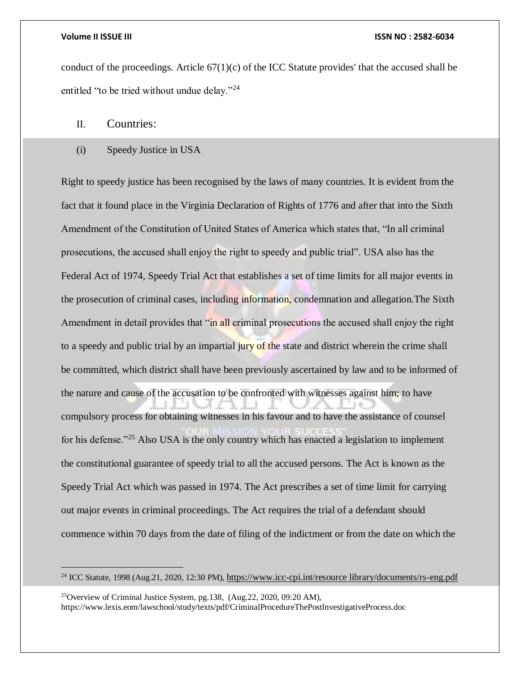$\overline{a}$ 

### **Volume II ISSUE III ISSN NO : 2582-6034**

conduct of the proceedings. Article  $67(1)(c)$  of the ICC Statute provides' that the accused shall be entitled "to be tried without undue delay."<sup>24</sup>

### II. Countries:

### (i) Speedy Justice in USA

Right to speedy justice has been recognised by the laws of many countries. It is evident from the fact that it found place in the Virginia Declaration of Rights of 1776 and after that into the Sixth Amendment of the Constitution of United States of America which states that, "In all criminal prosecutions, the accused shall enjoy the right to speedy and public trial". USA also has the Federal Act of 1974, Speedy Trial Act that establishes a set of time limits for all major events in the prosecution of criminal cases, including information, condemnation and allegation.The Sixth Amendment in detail provides that "in all criminal prosecutions the accused shall enjoy the right to a speedy and public trial by an impartial jury of the state and district wherein the crime shall be committed, which district shall have been previously ascertained by law and to be informed of the nature and cause of the accusation to be confronted with witnesses against him; to have compulsory process for obtaining witnesses in his favour and to have the assistance of counsel for his defense."<sup>25</sup> Also USA is the only country which has enacted a legislation to implement the constitutional guarantee of speedy trial to all the accused persons. The Act is known as the Speedy Trial Act which was passed in 1974. The Act prescribes a set of time limit for carrying out major events in criminal proceedings. The Act requires the trial of a defendant should commence within 70 days from the date of filing of the indictment or from the date on which the

<sup>&</sup>lt;sup>24</sup> ICC Statute, 1998 (Aug.21, 2020, 12:30 PM), [https://www.icc-cpi.int/resource library/documents/rs-eng.pdf](https://www.icc-cpi.int/resource%20library/documents/rs-eng.pdf)

<sup>25</sup>Overview of Criminal Justice System, pg.138, (Aug.22, 2020, 09:20 AM), https://www.lexis.eom/lawschool/study/texts/pdf/CriminalProcedureThePostlnvestigativeProcess.doc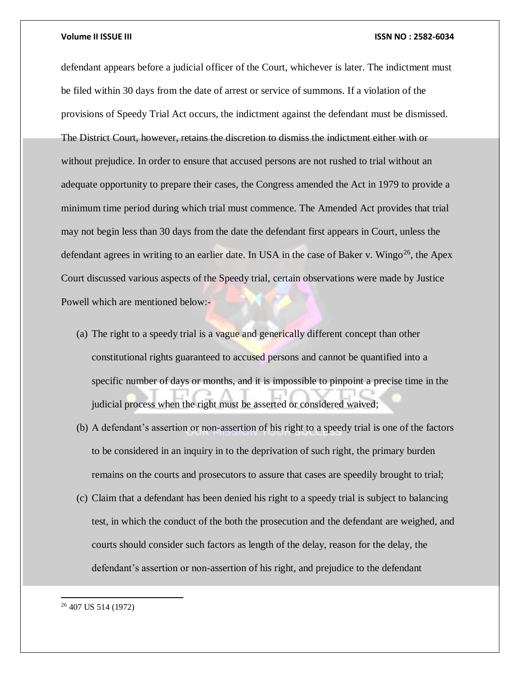defendant appears before a judicial officer of the Court, whichever is later. The indictment must be filed within 30 days from the date of arrest or service of summons. If a violation of the provisions of Speedy Trial Act occurs, the indictment against the defendant must be dismissed. The District Court, however, retains the discretion to dismiss the indictment either with or without prejudice. In order to ensure that accused persons are not rushed to trial without an adequate opportunity to prepare their cases, the Congress amended the Act in 1979 to provide a minimum time period during which trial must commence. The Amended Act provides that trial may not begin less than 30 days from the date the defendant first appears in Court, unless the defendant agrees in writing to an earlier date. In USA in the case of Baker v. Wingo<sup>26</sup>, the Apex Court discussed various aspects of the Speedy trial, certain observations were made by Justice Powell which are mentioned below:-

- (a) The right to a speedy trial is a vague and generically different concept than other constitutional rights guaranteed to accused persons and cannot be quantified into a specific number of days or months, and it is impossible to pinpoint a precise time in the judicial process when the right must be asserted or considered waived;
- (b) A defendant's assertion or non-assertion of his right to a speedy trial is one of the factors to be considered in an inquiry in to the deprivation of such right, the primary burden remains on the courts and prosecutors to assure that cases are speedily brought to trial;
- (c) Claim that a defendant has been denied his right to a speedy trial is subject to balancing test, in which the conduct of the both the prosecution and the defendant are weighed, and courts should consider such factors as length of the delay, reason for the delay, the defendant's assertion or non-assertion of his right, and prejudice to the defendant

<sup>26</sup> 407 US 514 (1972)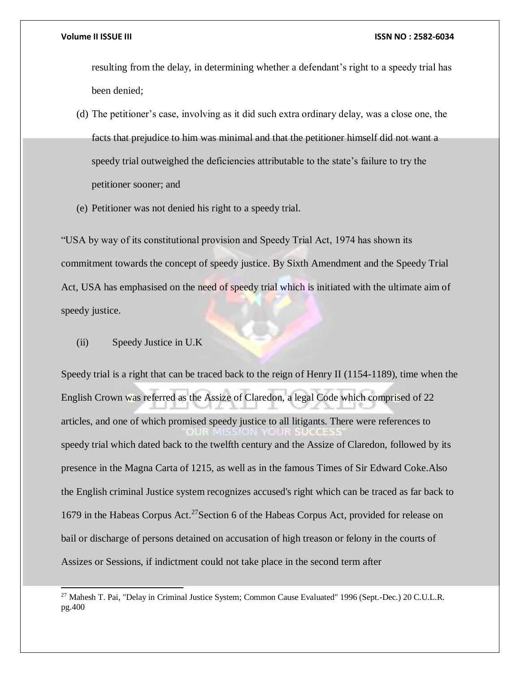resulting from the delay, in determining whether a defendant's right to a speedy trial has been denied;

- (d) The petitioner's case, involving as it did such extra ordinary delay, was a close one, the facts that prejudice to him was minimal and that the petitioner himself did not want a speedy trial outweighed the deficiencies attributable to the state's failure to try the petitioner sooner; and
- (e) Petitioner was not denied his right to a speedy trial.

"USA by way of its constitutional provision and Speedy Trial Act, 1974 has shown its commitment towards the concept of speedy justice. By Sixth Amendment and the Speedy Trial Act, USA has emphasised on the need of speedy trial which is initiated with the ultimate aim of speedy justice.

(ii) Speedy Justice in U.K

l

Speedy trial is a right that can be traced back to the reign of Henry II (1154-1189), time when the English Crown was referred as the Assize of Claredon, a legal Code which comprised of 22 articles, and one of which promised speedy justice to all litigants. There were references to speedy trial which dated back to the twelfth century and the Assize of Claredon, followed by its presence in the Magna Carta of 1215, as well as in the famous Times of Sir Edward Coke.Also the English criminal Justice system recognizes accused's right which can be traced as far back to 1679 in the Habeas Corpus Act.<sup>27</sup>Section 6 of the Habeas Corpus Act, provided for release on bail or discharge of persons detained on accusation of high treason or felony in the courts of Assizes or Sessions, if indictment could not take place in the second term after

<sup>&</sup>lt;sup>27</sup> Mahesh T. Pai, "Delay in Criminal Justice System; Common Cause Evaluated" 1996 (Sept.-Dec.) 20 C.U.L.R. pg.400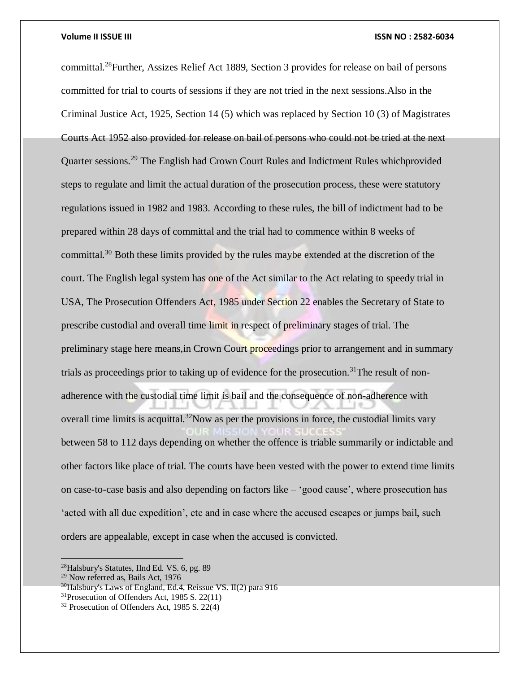committal.<sup>28</sup>Further, Assizes Relief Act 1889, Section 3 provides for release on bail of persons committed for trial to courts of sessions if they are not tried in the next sessions.Also in the Criminal Justice Act, 1925, Section 14 (5) which was replaced by Section 10 (3) of Magistrates Courts Act 1952 also provided for release on bail of persons who could not be tried at the next Quarter sessions.<sup>29</sup> The English had Crown Court Rules and Indictment Rules whichprovided steps to regulate and limit the actual duration of the prosecution process, these were statutory regulations issued in 1982 and 1983. According to these rules, the bill of indictment had to be prepared within 28 days of committal and the trial had to commence within 8 weeks of committal.<sup>30</sup> Both these limits provided by the rules maybe extended at the discretion of the court. The English legal system has one of the Act similar to the Act relating to speedy trial in USA, The Prosecution Offenders Act, 1985 under Section 22 enables the Secretary of State to prescribe custodial and overall time limit in respect of preliminary stages of trial. The preliminary stage here means,in Crown Court proceedings prior to arrangement and in summary trials as proceedings prior to taking up of evidence for the prosecution.<sup>31</sup>The result of nonadherence with the custodial time limit is bail and the consequence of non-adherence with overall time limits is acquittal.<sup>32</sup>Now as per the provisions in force, the custodial limits vary between 58 to 112 days depending on whether the offence is triable summarily or indictable and other factors like place of trial. The courts have been vested with the power to extend time limits on case-to-case basis and also depending on factors like – 'good cause', where prosecution has 'acted with all due expedition', etc and in case where the accused escapes or jumps bail, such orders are appealable, except in case when the accused is convicted.

<sup>28</sup>Halsbury's Statutes, IInd Ed. VS. 6, pg. 89

 $29$  Now referred as, Bails Act, 1976

 $30$ Halsbury's Laws of England, Ed.4, Reissue VS. II(2) para 916

<sup>31</sup>Prosecution of Offenders Act, 1985 S. 22(11)

<sup>32</sup> Prosecution of Offenders Act, 1985 S. 22(4)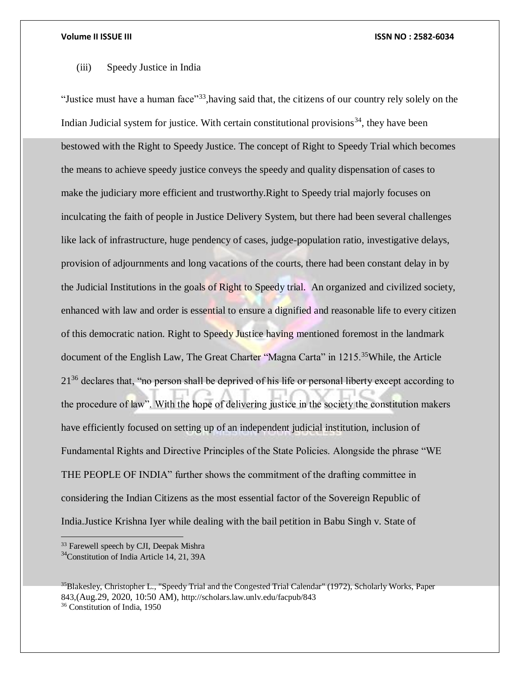### (iii) Speedy Justice in India

"Justice must have a human face"<sup>33</sup>,having said that, the citizens of our country rely solely on the Indian Judicial system for justice. With certain constitutional provisions<sup>34</sup>, they have been bestowed with the Right to Speedy Justice. The concept of Right to Speedy Trial which becomes the means to achieve speedy justice conveys the speedy and quality dispensation of cases to make the judiciary more efficient and trustworthy.Right to Speedy trial majorly focuses on inculcating the faith of people in Justice Delivery System, but there had been several challenges like lack of infrastructure, huge pendency of cases, judge-population ratio, investigative delays, provision of adjournments and long vacations of the courts, there had been constant delay in by the Judicial Institutions in the goals of Right to Speedy trial. An organized and civilized society, enhanced with law and order is essential to ensure a dignified and reasonable life to every citizen of this democratic nation. Right to Speedy Justice having mentioned foremost in the landmark document of the English Law, The Great Charter "Magna Carta" in 1215.<sup>35</sup>While, the Article  $21<sup>36</sup>$  declares that, "no person shall be deprived of his life or personal liberty except according to the procedure of law". With the hope of delivering justice in the society the constitution makers have efficiently focused on setting up of an independent judicial institution, inclusion of Fundamental Rights and Directive Principles of the State Policies. Alongside the phrase "WE THE PEOPLE OF INDIA" further shows the commitment of the drafting committee in considering the Indian Citizens as the most essential factor of the Sovereign Republic of India.Justice Krishna Iyer while dealing with the bail petition in Babu Singh v. State of

<sup>33</sup> Farewell speech by CJI, Deepak Mishra

<sup>&</sup>lt;sup>34</sup>Constitution of India Article 14, 21, 39A

<sup>&</sup>lt;sup>35</sup>Blakesley, Christopher L., "Speedy Trial and the Congested Trial Calendar" (1972), Scholarly Works, Paper 843,(Aug.29, 2020, 10:50 AM), http://scholars.law.unlv.edu/facpub/843 <sup>36</sup> Constitution of India, 1950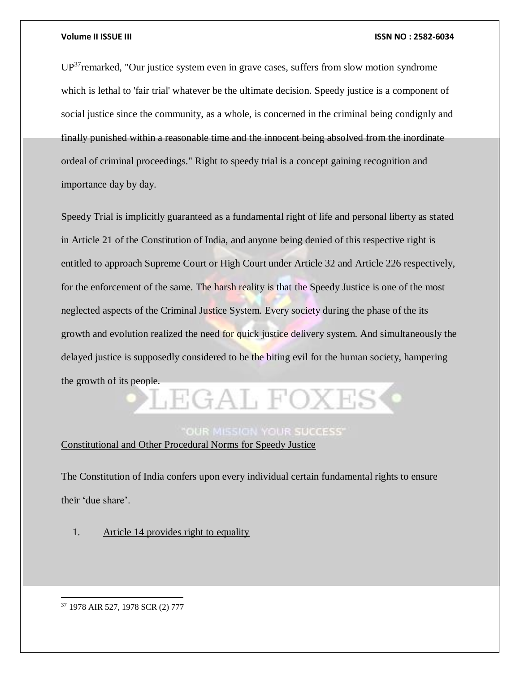UP<sup>37</sup>remarked, "Our justice system even in grave cases, suffers from slow motion syndrome which is lethal to 'fair trial' whatever be the ultimate decision. Speedy justice is a component of social justice since the community, as a whole, is concerned in the criminal being condignly and finally punished within a reasonable time and the innocent being absolved from the inordinate ordeal of criminal proceedings." Right to speedy trial is a concept gaining recognition and importance day by day.

Speedy Trial is implicitly guaranteed as a fundamental right of life and personal liberty as stated in Article 21 of the Constitution of India, and anyone being denied of this respective right is entitled to approach Supreme Court or High Court under Article 32 and Article 226 respectively, for the enforcement of the same. The harsh reality is that the Speedy Justice is one of the most neglected aspects of the Criminal Justice System. Every society during the phase of the its growth and evolution realized the need for quick justice delivery system. And simultaneously the delayed justice is supposedly considered to be the biting evil for the human society, hampering the growth of its people.

### **OUR MISSION YOUR SUCCESS'**

LEGAL FOXES

Constitutional and Other Procedural Norms for Speedy Justice

The Constitution of India confers upon every individual certain fundamental rights to ensure their 'due share'.

1. Article 14 provides right to equality

<sup>37</sup> 1978 AIR 527, 1978 SCR (2) 777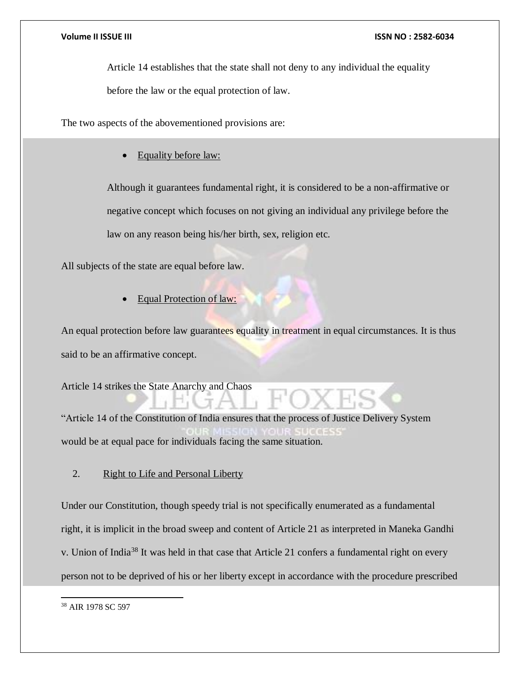Article 14 establishes that the state shall not deny to any individual the equality

before the law or the equal protection of law.

The two aspects of the abovementioned provisions are:

Equality before law:

Although it guarantees fundamental right, it is considered to be a non-affirmative or negative concept which focuses on not giving an individual any privilege before the law on any reason being his/her birth, sex, religion etc.

All subjects of the state are equal before law.

Equal Protection of law:

An equal protection before law guarantees equality in treatment in equal circumstances. It is thus said to be an affirmative concept.

Article 14 strikes the State Anarchy and Chaos

"Article 14 of the Constitution of India ensures that the process of Justice Delivery System would be at equal pace for individuals facing the same situation.

2. Right to Life and Personal Liberty

Under our Constitution, though speedy trial is not specifically enumerated as a fundamental right, it is implicit in the broad sweep and content of Article 21 as interpreted in Maneka Gandhi v. Union of India<sup>38</sup> It was held in that case that Article 21 confers a fundamental right on every person not to be deprived of his or her liberty except in accordance with the procedure prescribed

 $\overline{a}$ <sup>38</sup> AIR 1978 SC 597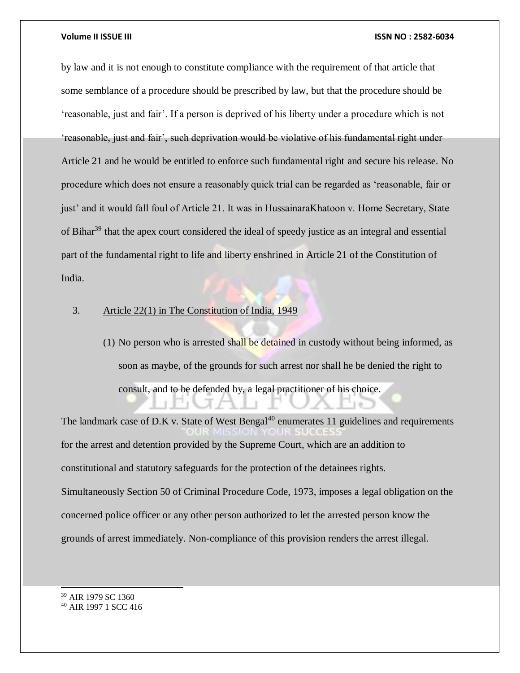by law and it is not enough to constitute compliance with the requirement of that article that some semblance of a procedure should be prescribed by law, but that the procedure should be 'reasonable, just and fair'. If a person is deprived of his liberty under a procedure which is not 'reasonable, just and fair', such deprivation would be violative of his fundamental right under Article 21 and he would be entitled to enforce such fundamental right and secure his release. No procedure which does not ensure a reasonably quick trial can be regarded as 'reasonable, fair or just' and it would fall foul of Article 21. It was in HussainaraKhatoon v. Home Secretary, State of Bihar<sup>39</sup> that the apex court considered the ideal of speedy justice as an integral and essential part of the fundamental right to life and liberty enshrined in Article 21 of the Constitution of India.

### 3. Article 22(1) in The Constitution of India, 1949

(1) No person who is arrested shall be detained in custody without being informed, as soon as maybe, of the grounds for such arrest nor shall he be denied the right to consult, and to be defended by, a legal practitioner of his choice.

The landmark case of D.K v. State of West Bengal<sup>40</sup> enumerates 11 guidelines and requirements for the arrest and detention provided by the Supreme Court, which are an addition to constitutional and statutory safeguards for the protection of the detainees rights. Simultaneously Section 50 of Criminal Procedure Code, 1973, imposes a legal obligation on the concerned police officer or any other person authorized to let the arrested person know the grounds of arrest immediately. Non-compliance of this provision renders the arrest illegal.

<sup>39</sup> AIR 1979 SC 1360

<sup>40</sup> AIR 1997 1 SCC 416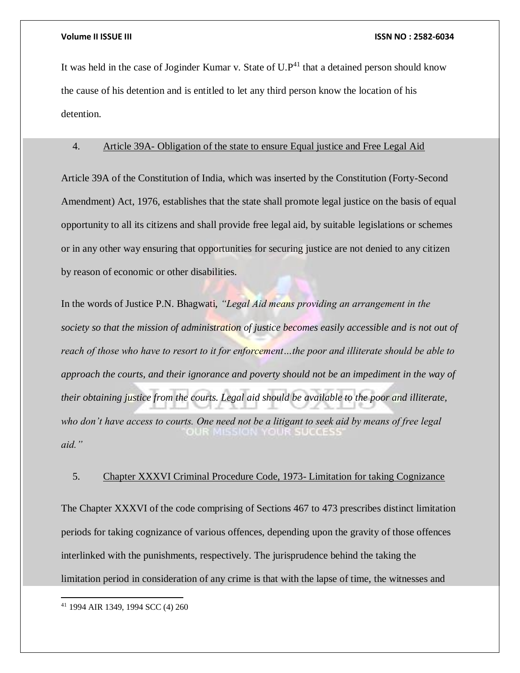It was held in the case of Joginder Kumar v. State of  $U.P^{41}$  that a detained person should know the cause of his detention and is entitled to let any third person know the location of his detention.

### 4. Article 39A- Obligation of the state to ensure Equal justice and Free Legal Aid

Article 39A of the Constitution of India, which was inserted by the Constitution (Forty-Second Amendment) Act, 1976, establishes that the state shall promote legal justice on the basis of equal opportunity to all its citizens and shall provide free legal aid, by suitable legislations or schemes or in any other way ensuring that opportunities for securing justice are not denied to any citizen by reason of economic or other disabilities.

In the words of Justice P.N. Bhagwati, *"Legal Aid means providing an arrangement in the society so that the mission of administration of justice becomes easily accessible and is not out of reach of those who have to resort to it for enforcement…the poor and illiterate should be able to approach the courts, and their ignorance and poverty should not be an impediment in the way of their obtaining justice from the courts. Legal aid should be available to the poor and illiterate, who don't have access to courts. One need not be a litigant to seek aid by means of free legal*  OUR MISSION YOUR SUCCES *aid."*

### 5. Chapter XXXVI Criminal Procedure Code, 1973- Limitation for taking Cognizance

The Chapter XXXVI of the code comprising of Sections 467 to 473 prescribes distinct limitation periods for taking cognizance of various offences, depending upon the gravity of those offences interlinked with the punishments, respectively. The jurisprudence behind the taking the limitation period in consideration of any crime is that with the lapse of time, the witnesses and

<sup>41</sup> 1994 AIR 1349, 1994 SCC (4) 260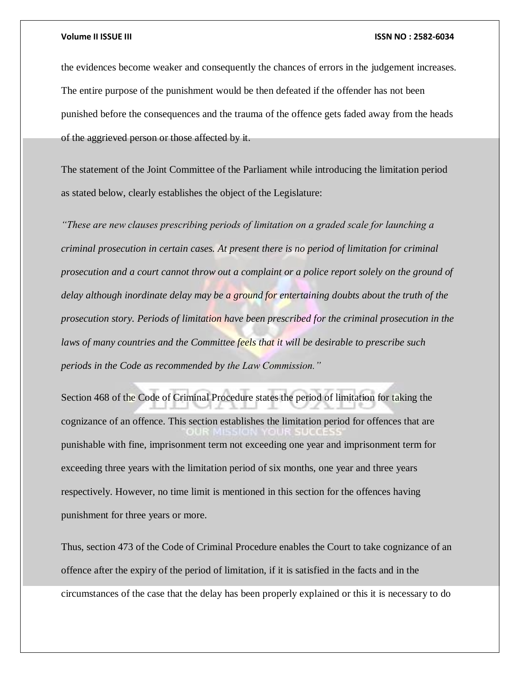the evidences become weaker and consequently the chances of errors in the judgement increases. The entire purpose of the punishment would be then defeated if the offender has not been punished before the consequences and the trauma of the offence gets faded away from the heads of the aggrieved person or those affected by it.

The statement of the Joint Committee of the Parliament while introducing the limitation period as stated below, clearly establishes the object of the Legislature:

*"These are new clauses prescribing periods of limitation on a graded scale for launching a criminal prosecution in certain cases. At present there is no period of limitation for criminal prosecution and a court cannot throw out a complaint or a police report solely on the ground of delay although inordinate delay may be a ground for entertaining doubts about the truth of the prosecution story. Periods of limitation have been prescribed for the criminal prosecution in the*  laws of many countries and the Committee feels that it will be desirable to prescribe such *periods in the Code as recommended by the Law Commission."*

Section 468 of the Code of Criminal Procedure states the period of limitation for taking the cognizance of an offence. This section establishes the limitation period for offences that are punishable with fine, imprisonment term not exceeding one year and imprisonment term for exceeding three years with the limitation period of six months, one year and three years respectively. However, no time limit is mentioned in this section for the offences having punishment for three years or more.

Thus, section 473 of the Code of Criminal Procedure enables the Court to take cognizance of an offence after the expiry of the period of limitation, if it is satisfied in the facts and in the circumstances of the case that the delay has been properly explained or this it is necessary to do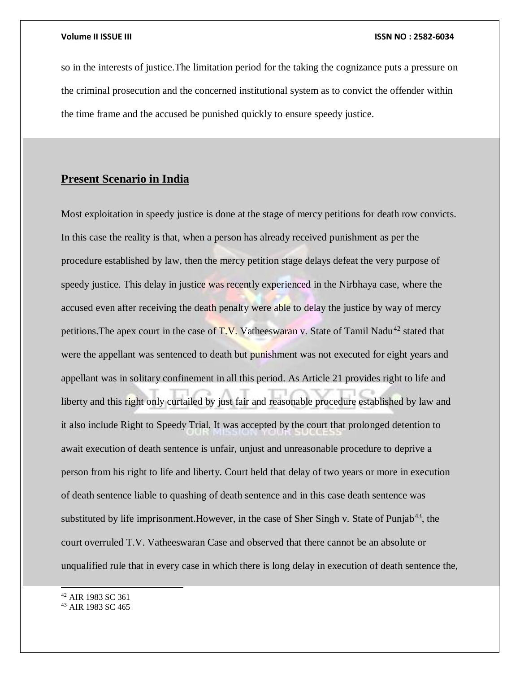so in the interests of justice.The limitation period for the taking the cognizance puts a pressure on the criminal prosecution and the concerned institutional system as to convict the offender within the time frame and the accused be punished quickly to ensure speedy justice.

### **Present Scenario in India**

Most exploitation in speedy justice is done at the stage of mercy petitions for death row convicts. In this case the reality is that, when a person has already received punishment as per the procedure established by law, then the mercy petition stage delays defeat the very purpose of speedy justice. This delay in justice was recently experienced in the Nirbhaya case, where the accused even after receiving the death penalty were able to delay the justice by way of mercy petitions. The apex court in the case of  $T.V.$  Vatheeswaran v. State of Tamil Nadu<sup>42</sup> stated that were the appellant was sentenced to death but punishment was not executed for eight years and appellant was in solitary confinement in all this period. As Article 21 provides right to life and liberty and this right only curtailed by just fair and reasonable procedure established by law and it also include Right to Speedy Trial. It was accepted by the court that prolonged detention to await execution of death sentence is unfair, unjust and unreasonable procedure to deprive a person from his right to life and liberty. Court held that delay of two years or more in execution of death sentence liable to quashing of death sentence and in this case death sentence was substituted by life imprisonment. However, in the case of Sher Singh v. State of Punjab<sup>43</sup>, the court overruled T.V. Vatheeswaran Case and observed that there cannot be an absolute or unqualified rule that in every case in which there is long delay in execution of death sentence the,

<sup>42</sup> AIR 1983 SC 361

<sup>43</sup> AIR 1983 SC 465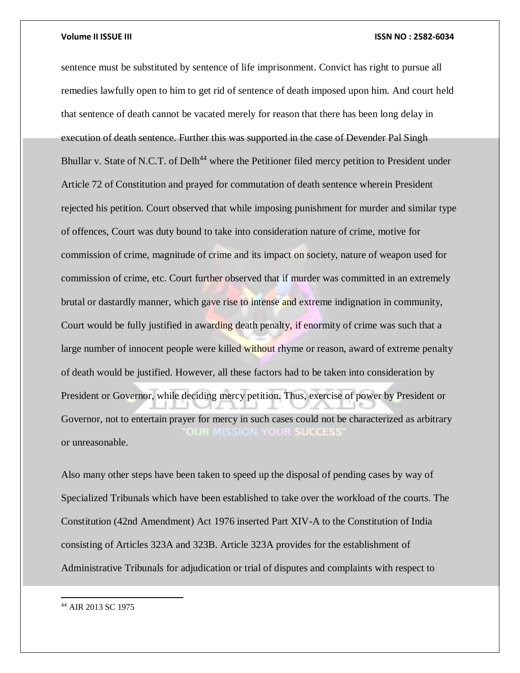sentence must be substituted by sentence of life imprisonment. Convict has right to pursue all remedies lawfully open to him to get rid of sentence of death imposed upon him. And court held that sentence of death cannot be vacated merely for reason that there has been long delay in execution of death sentence. Further this was supported in the case of Devender Pal Singh Bhullar v. State of N.C.T. of Delh<sup>44</sup> where the Petitioner filed mercy petition to President under Article 72 of Constitution and prayed for commutation of death sentence wherein President rejected his petition. Court observed that while imposing punishment for murder and similar type of offences, Court was duty bound to take into consideration nature of crime, motive for commission of crime, magnitude of crime and its impact on society, nature of weapon used for commission of crime, etc. Court further observed that if murder was committed in an extremely brutal or dastardly manner, which gave rise to intense and extreme indignation in community, Court would be fully justified in awarding death penalty, if enormity of crime was such that a large number of innocent people were killed without rhyme or reason, award of extreme penalty of death would be justified. However, all these factors had to be taken into consideration by President or Governor, while deciding mercy petition. Thus, exercise of power by President or Governor, not to entertain prayer for mercy in such cases could not be characterized as arbitrary OUR MISSION YOUR SUCCESS' or unreasonable.

Also many other steps have been taken to speed up the disposal of pending cases by way of Specialized Tribunals which have been established to take over the workload of the courts. The Constitution (42nd Amendment) Act 1976 inserted Part XIV-A to the Constitution of India consisting of Articles 323A and 323B. Article 323A provides for the establishment of Administrative Tribunals for adjudication or trial of disputes and complaints with respect to

<sup>44</sup> AIR 2013 SC 1975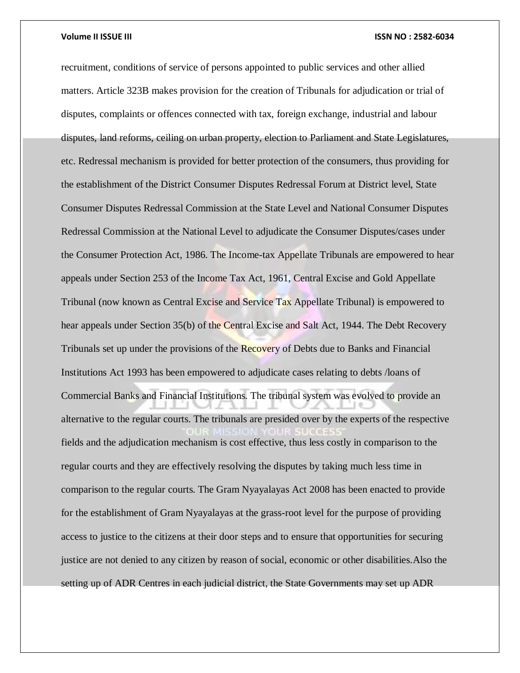recruitment, conditions of service of persons appointed to public services and other allied matters. Article 323B makes provision for the creation of Tribunals for adjudication or trial of disputes, complaints or offences connected with tax, foreign exchange, industrial and labour disputes, land reforms, ceiling on urban property, election to Parliament and State Legislatures, etc. Redressal mechanism is provided for better protection of the consumers, thus providing for the establishment of the District Consumer Disputes Redressal Forum at District level, State Consumer Disputes Redressal Commission at the State Level and National Consumer Disputes Redressal Commission at the National Level to adjudicate the Consumer Disputes/cases under the Consumer Protection Act, 1986. The Income-tax Appellate Tribunals are empowered to hear appeals under Section 253 of the Income Tax Act, 1961, Central Excise and Gold Appellate Tribunal (now known as Central Excise and Service Tax Appellate Tribunal) is empowered to hear appeals under Section 35(b) of the Central Excise and Salt Act, 1944. The Debt Recovery Tribunals set up under the provisions of the Recovery of Debts due to Banks and Financial Institutions Act 1993 has been empowered to adjudicate cases relating to debts /loans of Commercial Banks and Financial Institutions. The tribunal system was evolved to provide an alternative to the regular courts. The tribunals are presided over by the experts of the respective fields and the adjudication mechanism is cost effective, thus less costly in comparison to the regular courts and they are effectively resolving the disputes by taking much less time in comparison to the regular courts. The Gram Nyayalayas Act 2008 has been enacted to provide for the establishment of Gram Nyayalayas at the grass-root level for the purpose of providing access to justice to the citizens at their door steps and to ensure that opportunities for securing justice are not denied to any citizen by reason of social, economic or other disabilities.Also the setting up of ADR Centres in each judicial district, the State Governments may set up ADR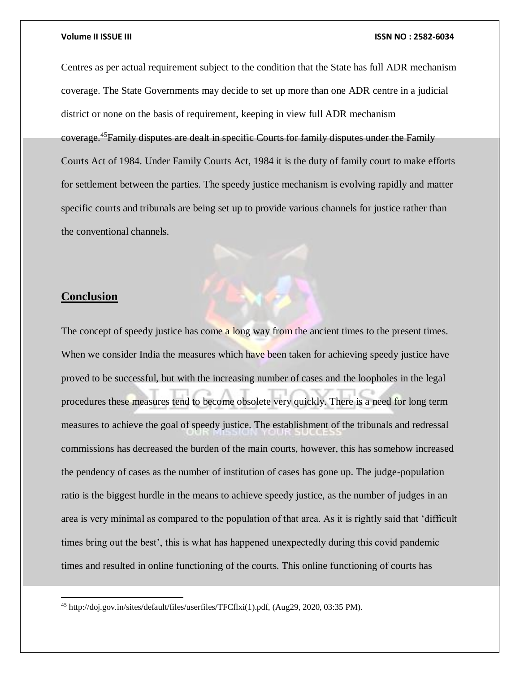Centres as per actual requirement subject to the condition that the State has full ADR mechanism coverage. The State Governments may decide to set up more than one ADR centre in a judicial district or none on the basis of requirement, keeping in view full ADR mechanism coverage.<sup>45</sup>Family disputes are dealt in specific Courts for family disputes under the Family Courts Act of 1984. Under Family Courts Act, 1984 it is the duty of family court to make efforts for settlement between the parties. The speedy justice mechanism is evolving rapidly and matter specific courts and tribunals are being set up to provide various channels for justice rather than the conventional channels.

### **Conclusion**

 $\overline{a}$ 

The concept of speedy justice has come a long way from the ancient times to the present times. When we consider India the measures which have been taken for achieving speedy justice have proved to be successful, but with the increasing number of cases and the loopholes in the legal procedures these measures tend to become obsolete very quickly. There is a need for long term measures to achieve the goal of speedy justice. The establishment of the tribunals and redressal commissions has decreased the burden of the main courts, however, this has somehow increased the pendency of cases as the number of institution of cases has gone up. The judge-population ratio is the biggest hurdle in the means to achieve speedy justice, as the number of judges in an area is very minimal as compared to the population of that area. As it is rightly said that 'difficult times bring out the best', this is what has happened unexpectedly during this covid pandemic times and resulted in online functioning of the courts. This online functioning of courts has

<sup>45</sup> http://doj.gov.in/sites/default/files/userfiles/TFCflxi(1).pdf, (Aug29, 2020, 03:35 PM).